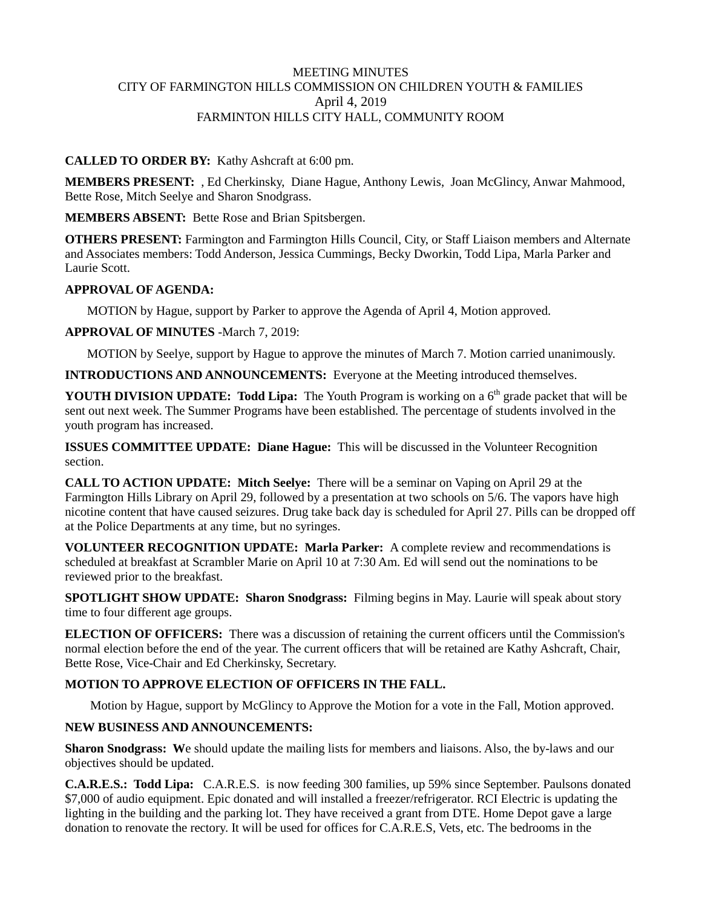#### MEETING MINUTES CITY OF FARMINGTON HILLS COMMISSION ON CHILDREN YOUTH & FAMILIES April 4, 2019 FARMINTON HILLS CITY HALL, COMMUNITY ROOM

### **CALLED TO ORDER BY:** Kathy Ashcraft at 6:00 pm.

**MEMBERS PRESENT:** , Ed Cherkinsky, Diane Hague, Anthony Lewis, Joan McGlincy, Anwar Mahmood, Bette Rose, Mitch Seelye and Sharon Snodgrass.

**MEMBERS ABSENT:** Bette Rose and Brian Spitsbergen.

**OTHERS PRESENT:** Farmington and Farmington Hills Council, City, or Staff Liaison members and Alternate and Associates members: Todd Anderson, Jessica Cummings, Becky Dworkin, Todd Lipa, Marla Parker and Laurie Scott.

#### **APPROVAL OF AGENDA:**

MOTION by Hague, support by Parker to approve the Agenda of April 4, Motion approved.

#### **APPROVAL OF MINUTES** -March 7, 2019:

MOTION by Seelye, support by Hague to approve the minutes of March 7. Motion carried unanimously.

**INTRODUCTIONS AND ANNOUNCEMENTS:** Everyone at the Meeting introduced themselves.

**YOUTH DIVISION UPDATE: Todd Lipa:** The Youth Program is working on a 6<sup>th</sup> grade packet that will be sent out next week. The Summer Programs have been established. The percentage of students involved in the youth program has increased.

**ISSUES COMMITTEE UPDATE: Diane Hague:** This will be discussed in the Volunteer Recognition section.

**CALL TO ACTION UPDATE: Mitch Seelye:** There will be a seminar on Vaping on April 29 at the Farmington Hills Library on April 29, followed by a presentation at two schools on 5/6. The vapors have high nicotine content that have caused seizures. Drug take back day is scheduled for April 27. Pills can be dropped off at the Police Departments at any time, but no syringes.

**VOLUNTEER RECOGNITION UPDATE: Marla Parker:** A complete review and recommendations is scheduled at breakfast at Scrambler Marie on April 10 at 7:30 Am. Ed will send out the nominations to be reviewed prior to the breakfast.

**SPOTLIGHT SHOW UPDATE: Sharon Snodgrass:** Filming begins in May. Laurie will speak about story time to four different age groups.

**ELECTION OF OFFICERS:** There was a discussion of retaining the current officers until the Commission's normal election before the end of the year. The current officers that will be retained are Kathy Ashcraft, Chair, Bette Rose, Vice-Chair and Ed Cherkinsky, Secretary.

## **MOTION TO APPROVE ELECTION OF OFFICERS IN THE FALL.**

Motion by Hague, support by McGlincy to Approve the Motion for a vote in the Fall, Motion approved.

## **NEW BUSINESS AND ANNOUNCEMENTS:**

**Sharon Snodgrass:** We should update the mailing lists for members and liaisons. Also, the by-laws and our objectives should be updated.

**C.A.R.E.S.: Todd Lipa:** C.A.R.E.S. is now feeding 300 families, up 59% since September. Paulsons donated \$7,000 of audio equipment. Epic donated and will installed a freezer/refrigerator. RCI Electric is updating the lighting in the building and the parking lot. They have received a grant from DTE. Home Depot gave a large donation to renovate the rectory. It will be used for offices for C.A.R.E.S, Vets, etc. The bedrooms in the